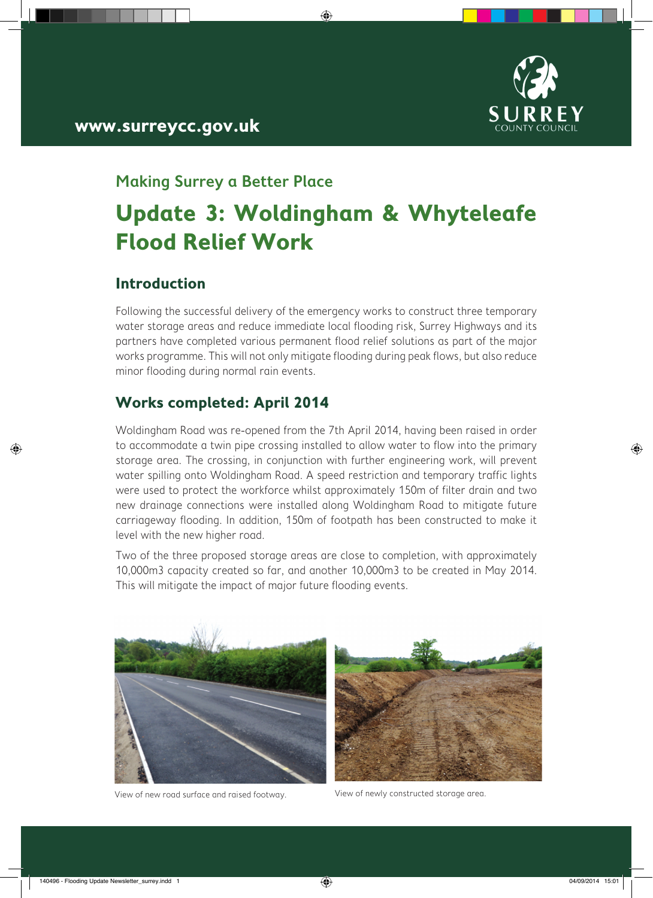

# **www.surreycc.gov.uk**

## **Making Surrey a Better Place**

# **Update 3: Woldingham & Whyteleafe Flood Relief Work**

◈

#### **Introduction**

◈

Following the successful delivery of the emergency works to construct three temporary water storage areas and reduce immediate local flooding risk, Surrey Highways and its partners have completed various permanent flood relief solutions as part of the major works programme. This will not only mitigate flooding during peak flows, but also reduce minor flooding during normal rain events.

#### **Works completed: April 2014**

Woldingham Road was re-opened from the 7th April 2014, having been raised in order to accommodate a twin pipe crossing installed to allow water to flow into the primary storage area. The crossing, in conjunction with further engineering work, will prevent water spilling onto Woldingham Road. A speed restriction and temporary traffic lights were used to protect the workforce whilst approximately 150m of filter drain and two new drainage connections were installed along Woldingham Road to mitigate future carriageway flooding. In addition, 150m of footpath has been constructed to make it level with the new higher road.

Two of the three proposed storage areas are close to completion, with approximately 10,000m3 capacity created so far, and another 10,000m3 to be created in May 2014. This will mitigate the impact of major future flooding events.



View of new road surface and raised footway. View of newly constructed storage area.



◈